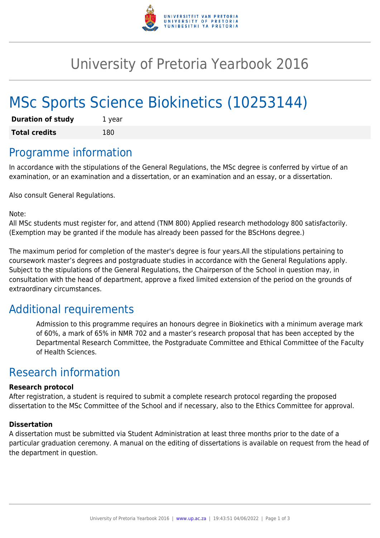

## University of Pretoria Yearbook 2016

# MSc Sports Science Biokinetics (10253144)

| <b>Duration of study</b> | 1 year |
|--------------------------|--------|
| <b>Total credits</b>     | 180    |

### Programme information

In accordance with the stipulations of the General Regulations, the MSc degree is conferred by virtue of an examination, or an examination and a dissertation, or an examination and an essay, or a dissertation.

Also consult General Regulations.

Note:

All MSc students must register for, and attend (TNM 800) Applied research methodology 800 satisfactorily. (Exemption may be granted if the module has already been passed for the BScHons degree.)

The maximum period for completion of the master's degree is four years.All the stipulations pertaining to coursework master's degrees and postgraduate studies in accordance with the General Regulations apply. Subject to the stipulations of the General Regulations, the Chairperson of the School in question may, in consultation with the head of department, approve a fixed limited extension of the period on the grounds of extraordinary circumstances.

### Additional requirements

Admission to this programme requires an honours degree in Biokinetics with a minimum average mark of 60%, a mark of 65% in NMR 702 and a master's research proposal that has been accepted by the Departmental Research Committee, the Postgraduate Committee and Ethical Committee of the Faculty of Health Sciences.

### Research information

#### **Research protocol**

After registration, a student is required to submit a complete research protocol regarding the proposed dissertation to the MSc Committee of the School and if necessary, also to the Ethics Committee for approval.

#### **Dissertation**

A dissertation must be submitted via Student Administration at least three months prior to the date of a particular graduation ceremony. A manual on the editing of dissertations is available on request from the head of the department in question.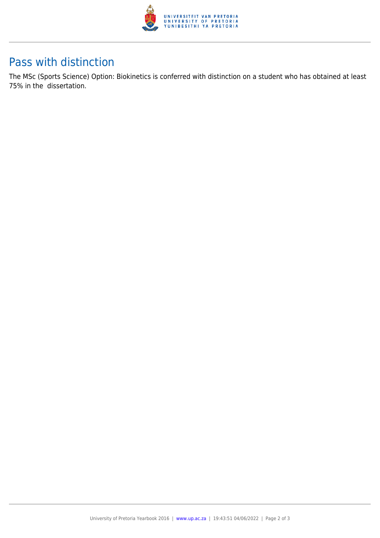

### Pass with distinction

The MSc (Sports Science) Option: Biokinetics is conferred with distinction on a student who has obtained at least 75% in the dissertation.